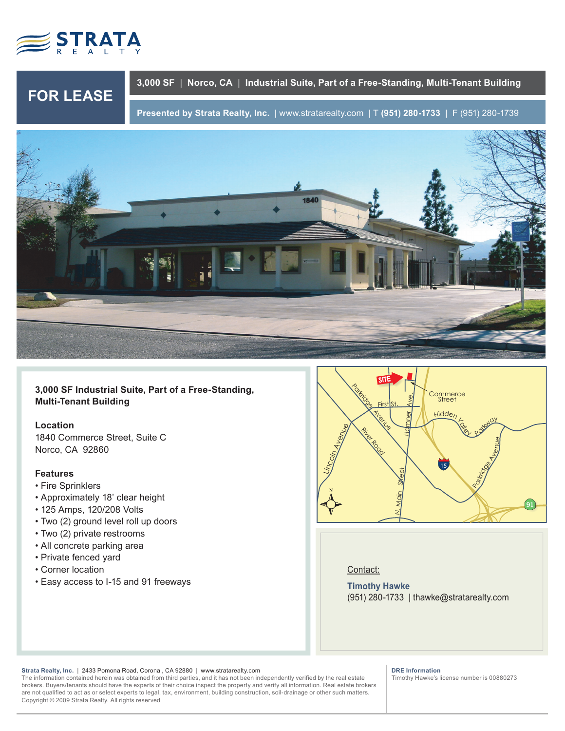

**FOR LEASE**

**3,000 SF** | **Norco, CA** | **Industrial Suite, Part of a Free-Standing, Multi-Tenant Building** 

**Presented by Strata Realty, Inc.** | www.stratarealty.com | T **(951) 280-1733** | F (951) 280-1739



**3,000 SF Industrial Suite, Part of a Free-Standing, Multi-Tenant Building**

## **Location**

1840 Commerce Street, Suite C Norco, CA 92860

# **Features**

- Fire Sprinklers
- Approximately 18' clear height
- 125 Amps, 120/208 Volts
- Two (2) ground level roll up doors
- Two (2) private restrooms
- All concrete parking area
- Private fenced yard
- Corner location
- Easy access to I-15 and 91 freeways



Contact:

**Timothy Hawke** (951) 280-1733 | thawke@stratarealty.com

**Strata Realty, Inc.** | 2433 Pomona Road, Corona , CA 92880| www.stratarealty.com

The information contained herein was obtained from third parties, and it has not been independently verified by the real estate brokers. Buyers/tenants should have the experts of their choice inspect the property and verify all information. Real estate brokers are not qualified to act as or select experts to legal, tax, environment, building construction, soil-drainage or other such matters. Copyright © 2009 Strata Realty. All rights reserved

### **DRE Information**

Timothy Hawke's license number is 00880273